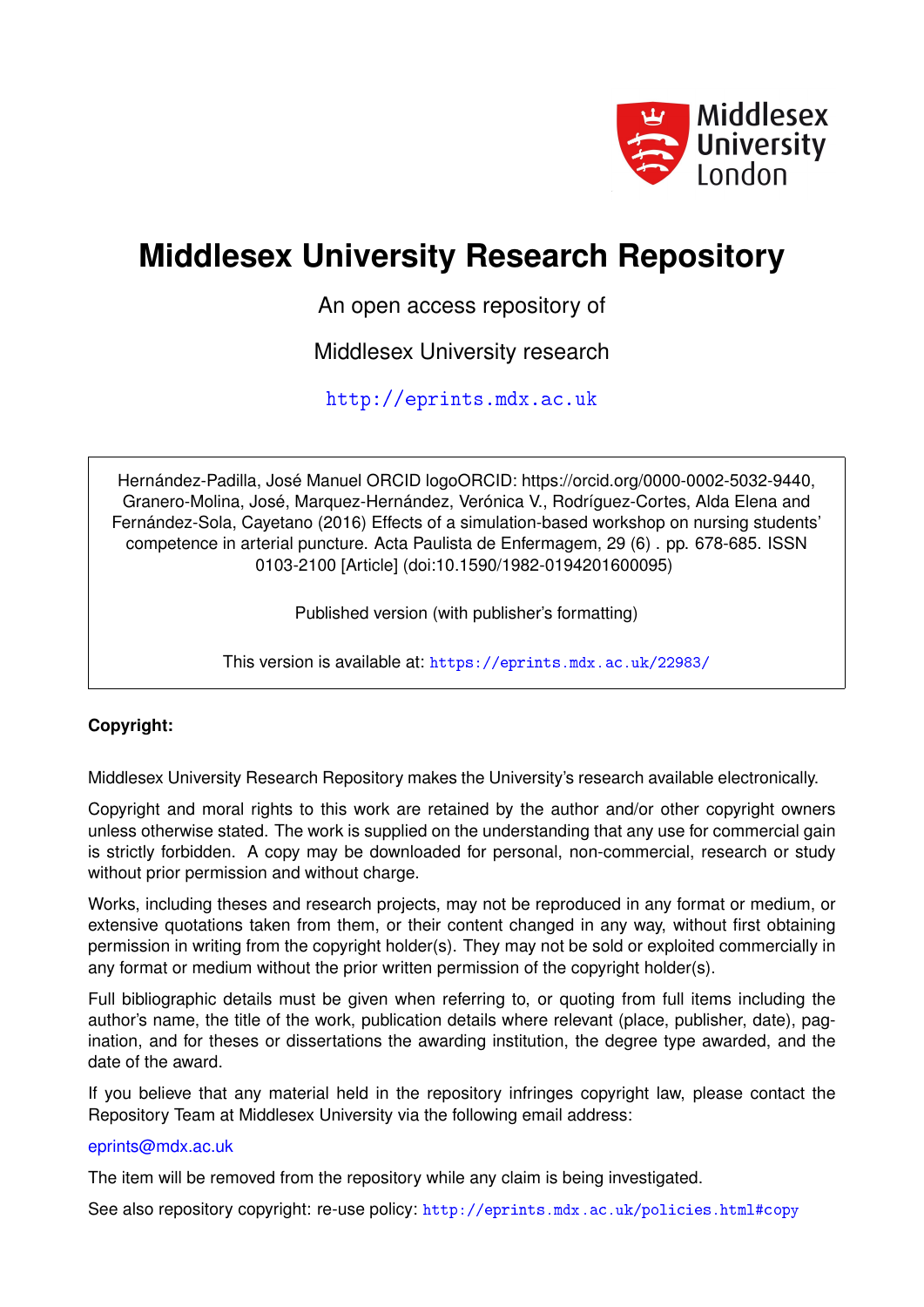

# **Middlesex University Research Repository**

An open access repository of

Middlesex University research

<http://eprints.mdx.ac.uk>

Hernández-Padilla, José Manuel ORCID logoORCID: https://orcid.org/0000-0002-5032-9440, Granero-Molina, José, Marquez-Hernández, Verónica V., Rodríguez-Cortes, Alda Elena and Fernández-Sola, Cayetano (2016) Effects of a simulation-based workshop on nursing students' competence in arterial puncture. Acta Paulista de Enfermagem, 29 (6) . pp. 678-685. ISSN 0103-2100 [Article] (doi:10.1590/1982-0194201600095)

Published version (with publisher's formatting)

This version is available at: <https://eprints.mdx.ac.uk/22983/>

### **Copyright:**

Middlesex University Research Repository makes the University's research available electronically.

Copyright and moral rights to this work are retained by the author and/or other copyright owners unless otherwise stated. The work is supplied on the understanding that any use for commercial gain is strictly forbidden. A copy may be downloaded for personal, non-commercial, research or study without prior permission and without charge.

Works, including theses and research projects, may not be reproduced in any format or medium, or extensive quotations taken from them, or their content changed in any way, without first obtaining permission in writing from the copyright holder(s). They may not be sold or exploited commercially in any format or medium without the prior written permission of the copyright holder(s).

Full bibliographic details must be given when referring to, or quoting from full items including the author's name, the title of the work, publication details where relevant (place, publisher, date), pagination, and for theses or dissertations the awarding institution, the degree type awarded, and the date of the award.

If you believe that any material held in the repository infringes copyright law, please contact the Repository Team at Middlesex University via the following email address:

### [eprints@mdx.ac.uk](mailto:eprints@mdx.ac.uk)

The item will be removed from the repository while any claim is being investigated.

See also repository copyright: re-use policy: <http://eprints.mdx.ac.uk/policies.html#copy>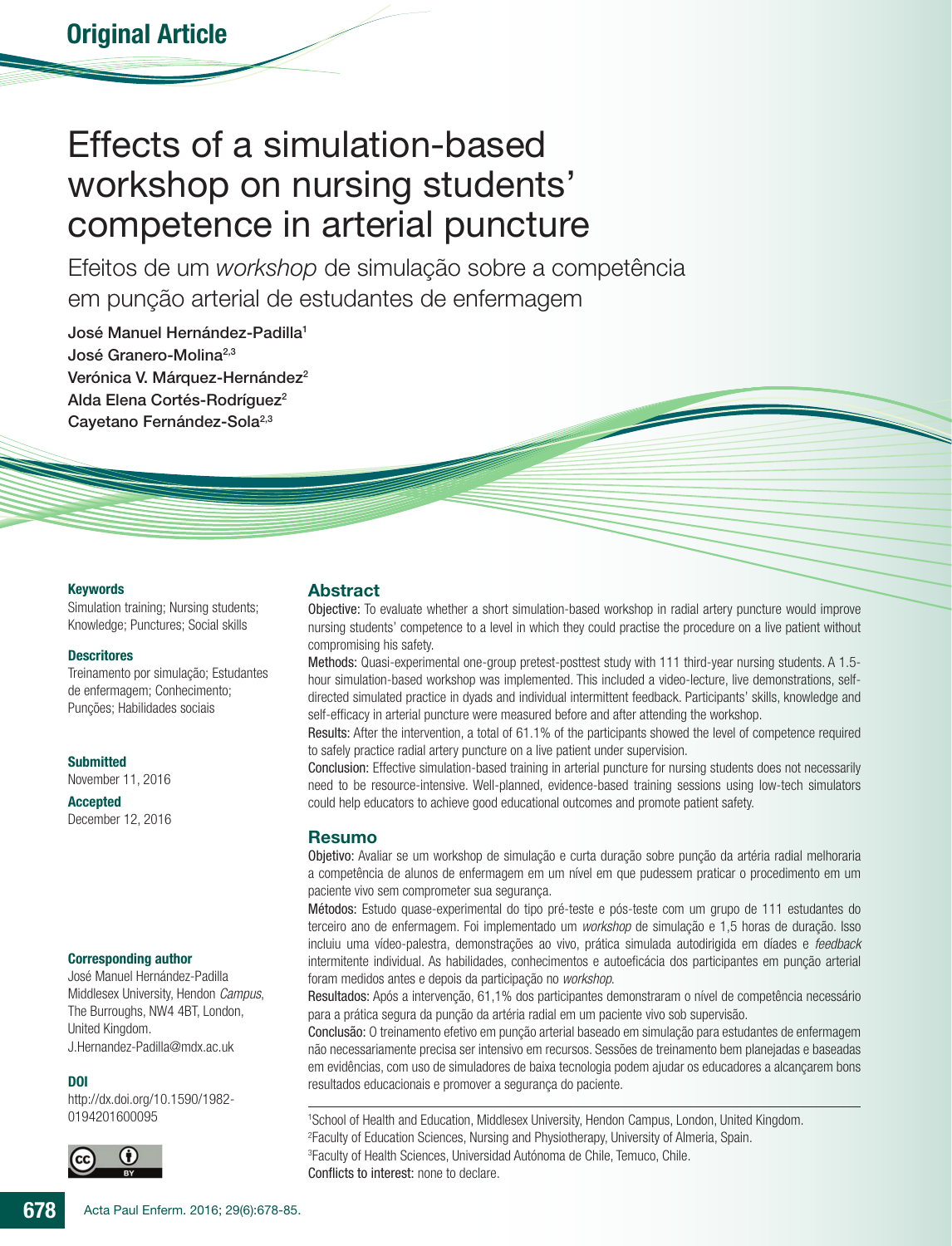# Effects of a simulation-based workshop on nursing students' competence in arterial puncture

Efeitos de um *workshop* de simulação sobre a competência em punção arterial de estudantes de enfermagem

José Manuel Hernández-Padilla<sup>1</sup> José Granero-Molina<sup>2,3</sup> Verónica V. Márquez-Hernández<sup>2</sup> Alda Elena Cortés-Rodríguez<sup>2</sup> Cayetano Fernández-Sola<sup>2,3</sup>

#### Keywords

Simulation training; Nursing students; Knowledge; Punctures; Social skills

#### **Descritores**

Treinamento por simulação; Estudantes de enfermagem; Conhecimento; Punções; Habilidades sociais

#### **Submitted**

November 11, 2016

Accepted

December 12, 2016

#### Corresponding author

José Manuel Hernández-Padilla Middlesex University, Hendon *Campus*, The Burroughs, NW4 4BT, London, United Kingdom. J.Hernandez-Padilla@mdx.ac.uk

DOI

http://dx.doi.org/10.1590/1982- 0194201600095



#### Abstract

Objective: To evaluate whether a short simulation-based workshop in radial artery puncture would improve nursing students' competence to a level in which they could practise the procedure on a live patient without compromising his safety.

Methods: Quasi-experimental one-group pretest-posttest study with 111 third-year nursing students. A 1.5 hour simulation-based workshop was implemented. This included a video-lecture, live demonstrations, selfdirected simulated practice in dyads and individual intermittent feedback. Participants' skills, knowledge and self-efficacy in arterial puncture were measured before and after attending the workshop.

Results: After the intervention, a total of 61.1% of the participants showed the level of competence required to safely practice radial artery puncture on a live patient under supervision.

Conclusion: Effective simulation-based training in arterial puncture for nursing students does not necessarily need to be resource-intensive. Well-planned, evidence-based training sessions using low-tech simulators could help educators to achieve good educational outcomes and promote patient safety.

#### Resumo

Objetivo: Avaliar se um workshop de simulação e curta duração sobre punção da artéria radial melhoraria a competência de alunos de enfermagem em um nível em que pudessem praticar o procedimento em um paciente vivo sem comprometer sua segurança.

Métodos: Estudo quase-experimental do tipo pré-teste e pós-teste com um grupo de 111 estudantes do terceiro ano de enfermagem. Foi implementado um *workshop* de simulação e 1,5 horas de duração. Isso incluiu uma vídeo-palestra, demonstrações ao vivo, prática simulada autodirigida em díades e *feedback* intermitente individual. As habilidades, conhecimentos e autoeficácia dos participantes em punção arterial foram medidos antes e depois da participação no *workshop*.

Resultados: Após a intervenção, 61,1% dos participantes demonstraram o nível de competência necessário para a prática segura da punção da artéria radial em um paciente vivo sob supervisão.

Conclusão: O treinamento efetivo em punção arterial baseado em simulação para estudantes de enfermagem não necessariamente precisa ser intensivo em recursos. Sessões de treinamento bem planejadas e baseadas em evidências, com uso de simuladores de baixa tecnologia podem ajudar os educadores a alcançarem bons resultados educacionais e promover a segurança do paciente.

<sup>1</sup>School of Health and Education, Middlesex University, Hendon Campus, London, United Kingdom. 2 Faculty of Education Sciences, Nursing and Physiotherapy, University of Almeria, Spain. 3 Faculty of Health Sciences, Universidad Autónoma de Chile, Temuco, Chile. Conflicts to interest: none to declare.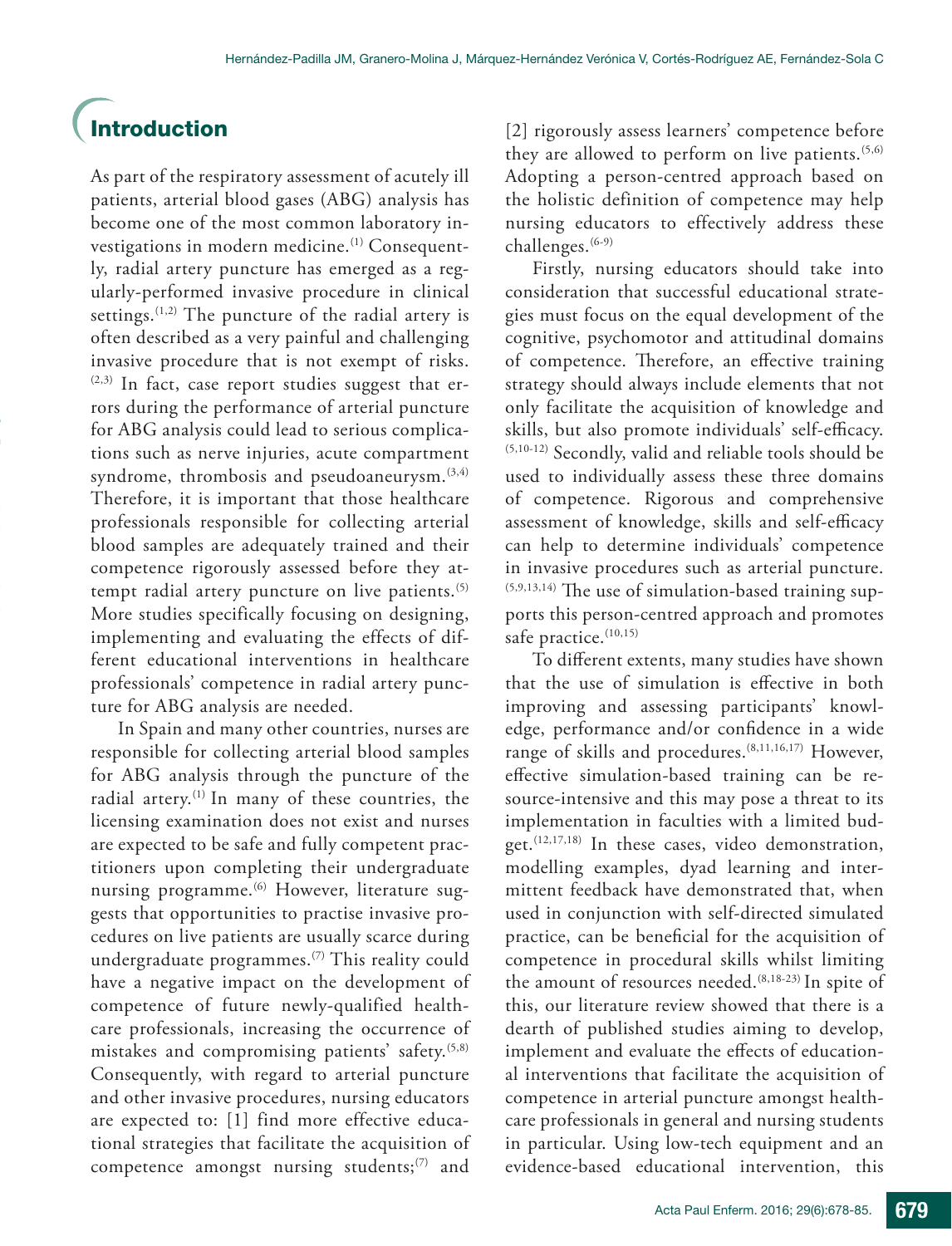## Introduction

As part of the respiratory assessment of acutely ill patients, arterial blood gases (ABG) analysis has become one of the most common laboratory investigations in modern medicine.<sup>(1)</sup> Consequently, radial artery puncture has emerged as a regularly-performed invasive procedure in clinical settings.<sup>(1,2)</sup> The puncture of the radial artery is often described as a very painful and challenging invasive procedure that is not exempt of risks. (2,3) In fact, case report studies suggest that errors during the performance of arterial puncture for ABG analysis could lead to serious complications such as nerve injuries, acute compartment syndrome, thrombosis and pseudoaneurysm. $(3,4)$ Therefore, it is important that those healthcare professionals responsible for collecting arterial blood samples are adequately trained and their competence rigorously assessed before they attempt radial artery puncture on live patients.<sup>(5)</sup> More studies specifically focusing on designing, implementing and evaluating the effects of different educational interventions in healthcare professionals' competence in radial artery puncture for ABG analysis are needed.

In Spain and many other countries, nurses are responsible for collecting arterial blood samples for ABG analysis through the puncture of the radial artery.<sup> $(1)$ </sup> In many of these countries, the licensing examination does not exist and nurses are expected to be safe and fully competent practitioners upon completing their undergraduate nursing programme.<sup>(6)</sup> However, literature suggests that opportunities to practise invasive procedures on live patients are usually scarce during undergraduate programmes.<sup>(7)</sup> This reality could have a negative impact on the development of competence of future newly-qualified healthcare professionals, increasing the occurrence of mistakes and compromising patients' safety.(5,8) Consequently, with regard to arterial puncture and other invasive procedures, nursing educators are expected to: [1] find more effective educational strategies that facilitate the acquisition of competence amongst nursing students;<sup>(7)</sup> and

[2] rigorously assess learners' competence before they are allowed to perform on live patients. $(5,6)$ Adopting a person-centred approach based on the holistic definition of competence may help nursing educators to effectively address these challenges.(6-9)

Firstly, nursing educators should take into consideration that successful educational strategies must focus on the equal development of the cognitive, psychomotor and attitudinal domains of competence. Therefore, an effective training strategy should always include elements that not only facilitate the acquisition of knowledge and skills, but also promote individuals' self-efficacy. (5,10-12) Secondly, valid and reliable tools should be used to individually assess these three domains of competence. Rigorous and comprehensive assessment of knowledge, skills and self-efficacy can help to determine individuals' competence in invasive procedures such as arterial puncture. (5,9,13,14) The use of simulation-based training supports this person-centred approach and promotes safe practice.<sup>(10,15)</sup>

To different extents, many studies have shown that the use of simulation is effective in both improving and assessing participants' knowledge, performance and/or confidence in a wide range of skills and procedures.(8,11,16,17) However, effective simulation-based training can be resource-intensive and this may pose a threat to its implementation in faculties with a limited budget.(12,17,18) In these cases, video demonstration, modelling examples, dyad learning and intermittent feedback have demonstrated that, when used in conjunction with self-directed simulated practice, can be beneficial for the acquisition of competence in procedural skills whilst limiting the amount of resources needed.<sup>(8,18-23)</sup> In spite of this, our literature review showed that there is a dearth of published studies aiming to develop, implement and evaluate the effects of educational interventions that facilitate the acquisition of competence in arterial puncture amongst healthcare professionals in general and nursing students in particular. Using low-tech equipment and an evidence-based educational intervention, this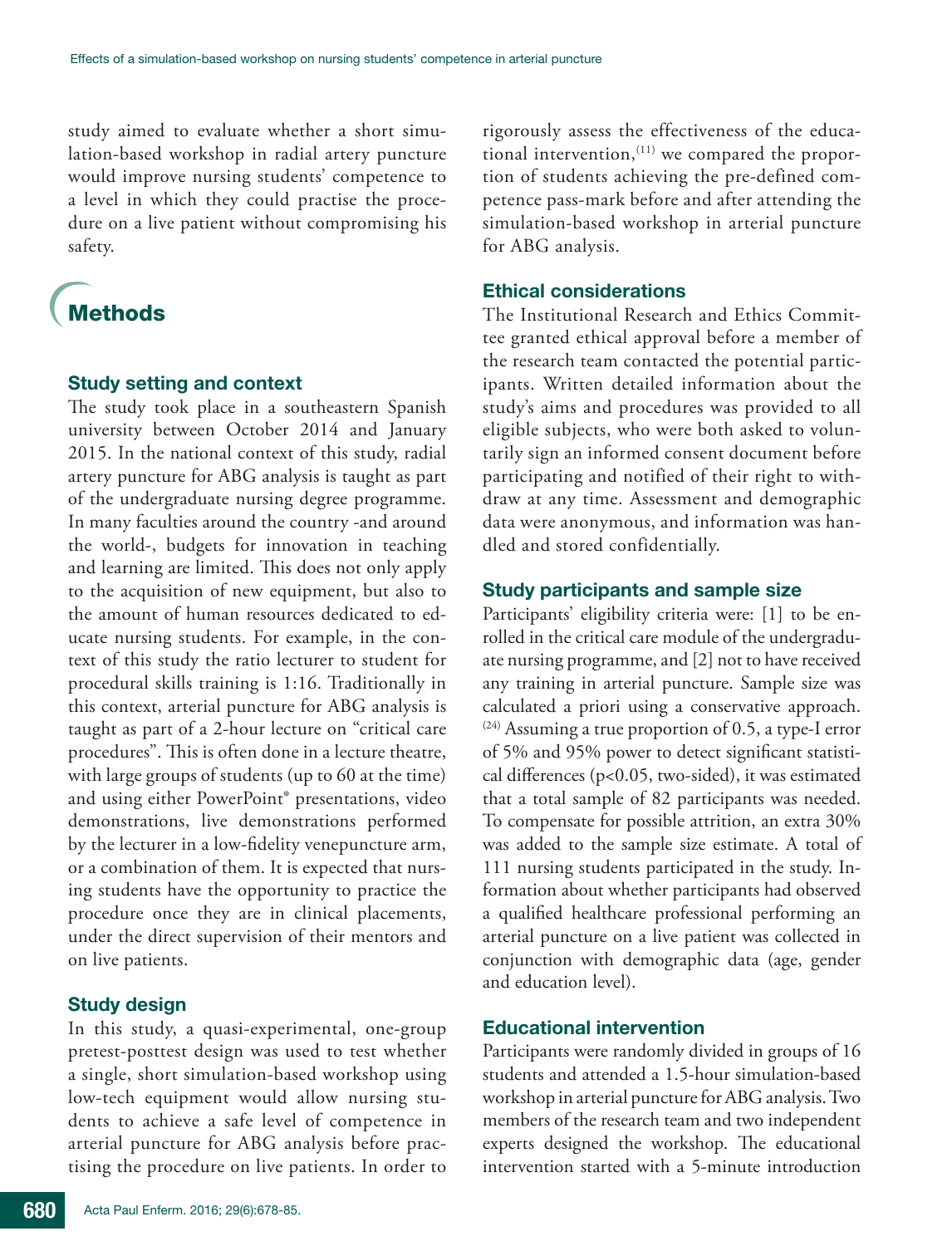study aimed to evaluate whether a short simulation-based workshop in radial artery puncture would improve nursing students' competence to a level in which they could practise the procedure on a live patient without compromising his safety.

## **Methods**

#### Study setting and context

The study took place in a southeastern Spanish university between October 2014 and January 2015. In the national context of this study, radial artery puncture for ABG analysis is taught as part of the undergraduate nursing degree programme. In many faculties around the country -and around the world-, budgets for innovation in teaching and learning are limited. This does not only apply to the acquisition of new equipment, but also to the amount of human resources dedicated to educate nursing students. For example, in the context of this study the ratio lecturer to student for procedural skills training is 1:16. Traditionally in this context, arterial puncture for ABG analysis is taught as part of a 2-hour lecture on "critical care procedures". This is often done in a lecture theatre, with large groups of students (up to 60 at the time) and using either PowerPoint® presentations, video demonstrations, live demonstrations performed by the lecturer in a low-fidelity venepuncture arm, or a combination of them. It is expected that nursing students have the opportunity to practice the procedure once they are in clinical placements, under the direct supervision of their mentors and on live patients.

### Study design

In this study, a quasi-experimental, one-group pretest-posttest design was used to test whether a single, short simulation-based workshop using low-tech equipment would allow nursing students to achieve a safe level of competence in arterial puncture for ABG analysis before practising the procedure on live patients. In order to

rigorously assess the effectiveness of the educational intervention,<sup>(11)</sup> we compared the proportion of students achieving the pre-defined competence pass-mark before and after attending the simulation-based workshop in arterial puncture for ABG analysis.

#### Ethical considerations

The Institutional Research and Ethics Committee granted ethical approval before a member of the research team contacted the potential participants. Written detailed information about the study's aims and procedures was provided to all eligible subjects, who were both asked to voluntarily sign an informed consent document before participating and notified of their right to withdraw at any time. Assessment and demographic data were anonymous, and information was handled and stored confidentially.

#### Study participants and sample size

Participants' eligibility criteria were: [1] to be enrolled in the critical care module of the undergraduate nursing programme, and [2] not to have received any training in arterial puncture. Sample size was calculated a priori using a conservative approach.  $(24)$  Assuming a true proportion of 0.5, a type-I error of 5% and 95% power to detect significant statistical differences (p<0.05, two-sided), it was estimated that a total sample of 82 participants was needed. To compensate for possible attrition, an extra 30% was added to the sample size estimate. A total of 111 nursing students participated in the study. Information about whether participants had observed a qualified healthcare professional performing an arterial puncture on a live patient was collected in conjunction with demographic data (age, gender and education level).

#### Educational intervention

Participants were randomly divided in groups of 16 students and attended a 1.5-hour simulation-based workshop in arterial puncture for ABG analysis. Two members of the research team and two independent experts designed the workshop. The educational intervention started with a 5-minute introduction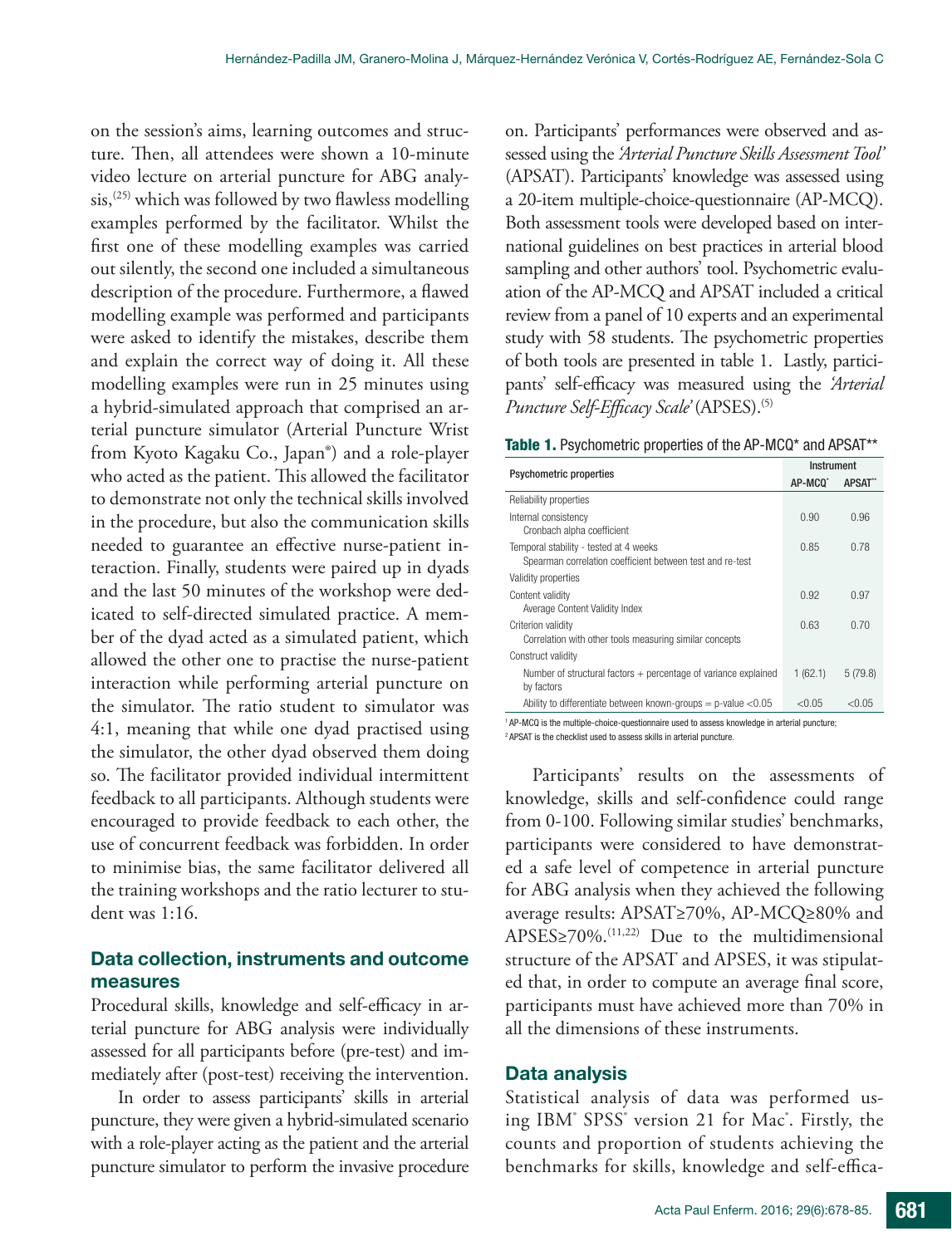on the session's aims, learning outcomes and structure. Then, all attendees were shown a 10-minute video lecture on arterial puncture for ABG analysis,<sup>(25)</sup> which was followed by two flawless modelling examples performed by the facilitator. Whilst the first one of these modelling examples was carried out silently, the second one included a simultaneous description of the procedure. Furthermore, a flawed modelling example was performed and participants were asked to identify the mistakes, describe them and explain the correct way of doing it. All these modelling examples were run in 25 minutes using a hybrid-simulated approach that comprised an arterial puncture simulator (Arterial Puncture Wrist from Kyoto Kagaku Co., Japan®) and a role-player who acted as the patient. This allowed the facilitator to demonstrate not only the technical skills involved in the procedure, but also the communication skills needed to guarantee an effective nurse-patient interaction. Finally, students were paired up in dyads and the last 50 minutes of the workshop were dedicated to self-directed simulated practice. A member of the dyad acted as a simulated patient, which allowed the other one to practise the nurse-patient interaction while performing arterial puncture on the simulator. The ratio student to simulator was 4:1, meaning that while one dyad practised using the simulator, the other dyad observed them doing so. The facilitator provided individual intermittent feedback to all participants. Although students were encouraged to provide feedback to each other, the use of concurrent feedback was forbidden. In order to minimise bias, the same facilitator delivered all the training workshops and the ratio lecturer to student was 1:16.

### Data collection, instruments and outcome measures

Procedural skills, knowledge and self-efficacy in arterial puncture for ABG analysis were individually assessed for all participants before (pre-test) and immediately after (post-test) receiving the intervention.

In order to assess participants' skills in arterial puncture, they were given a hybrid-simulated scenario with a role-player acting as the patient and the arterial puncture simulator to perform the invasive procedure on. Participants' performances were observed and assessed using the *'Arterial Puncture Skills Assessment Tool'* (APSAT). Participants' knowledge was assessed using a 20-item multiple-choice-questionnaire (AP-MCQ). Both assessment tools were developed based on international guidelines on best practices in arterial blood sampling and other authors' tool. Psychometric evaluation of the AP-MCQ and APSAT included a critical review from a panel of 10 experts and an experimental study with 58 students. The psychometric properties of both tools are presented in table 1. Lastly, participants' self-efficacy was measured using the *'Arterial Puncture Self-Efficacy Scale'* (APSES).<sup>(5)</sup>

Table 1. Psychometric properties of the AP-MCQ\* and APSAT\*\*

|                                                                                                     | Instrument          |         |  |
|-----------------------------------------------------------------------------------------------------|---------------------|---------|--|
| <b>Psychometric properties</b>                                                                      | AP-MCQ <sup>*</sup> | APSAT"  |  |
| Reliability properties                                                                              |                     |         |  |
| Internal consistency<br>Cronbach alpha coefficient                                                  | 0.90                | 0.96    |  |
| Temporal stability - tested at 4 weeks<br>Spearman correlation coefficient between test and re-test | 0.85                | 0.78    |  |
| Validity properties                                                                                 |                     |         |  |
| Content validity<br>Average Content Validity Index                                                  | 0.92                | 0.97    |  |
| Criterion validity<br>Correlation with other tools measuring similar concepts                       | 0.63                | 0.70    |  |
| Construct validity                                                                                  |                     |         |  |
| Number of structural factors $+$ percentage of variance explained<br>by factors                     | 1(62.1)             | 5(79.8) |  |
| Ability to differentiate between known-groups = $p$ -value < $0.05$                                 | < 0.05              | < 0.05  |  |

<sup>1</sup> AP-MCQ is the multiple-choice-questionnaire used to assess knowledge in arterial puncture; 2 APSAT is the checklist used to assess skills in arterial puncture.

Participants' results on the assessments of knowledge, skills and self-confidence could range from 0-100. Following similar studies' benchmarks, participants were considered to have demonstrated a safe level of competence in arterial puncture for ABG analysis when they achieved the following average results: APSAT≥70%, AP-MCQ≥80% and APSES≥70%.(11,22) Due to the multidimensional structure of the APSAT and APSES, it was stipulated that, in order to compute an average final score, participants must have achieved more than 70% in all the dimensions of these instruments.

#### Data analysis

Statistical analysis of data was performed using IBM° SPSS° version 21 for Mac°. Firstly, the counts and proportion of students achieving the benchmarks for skills, knowledge and self-effica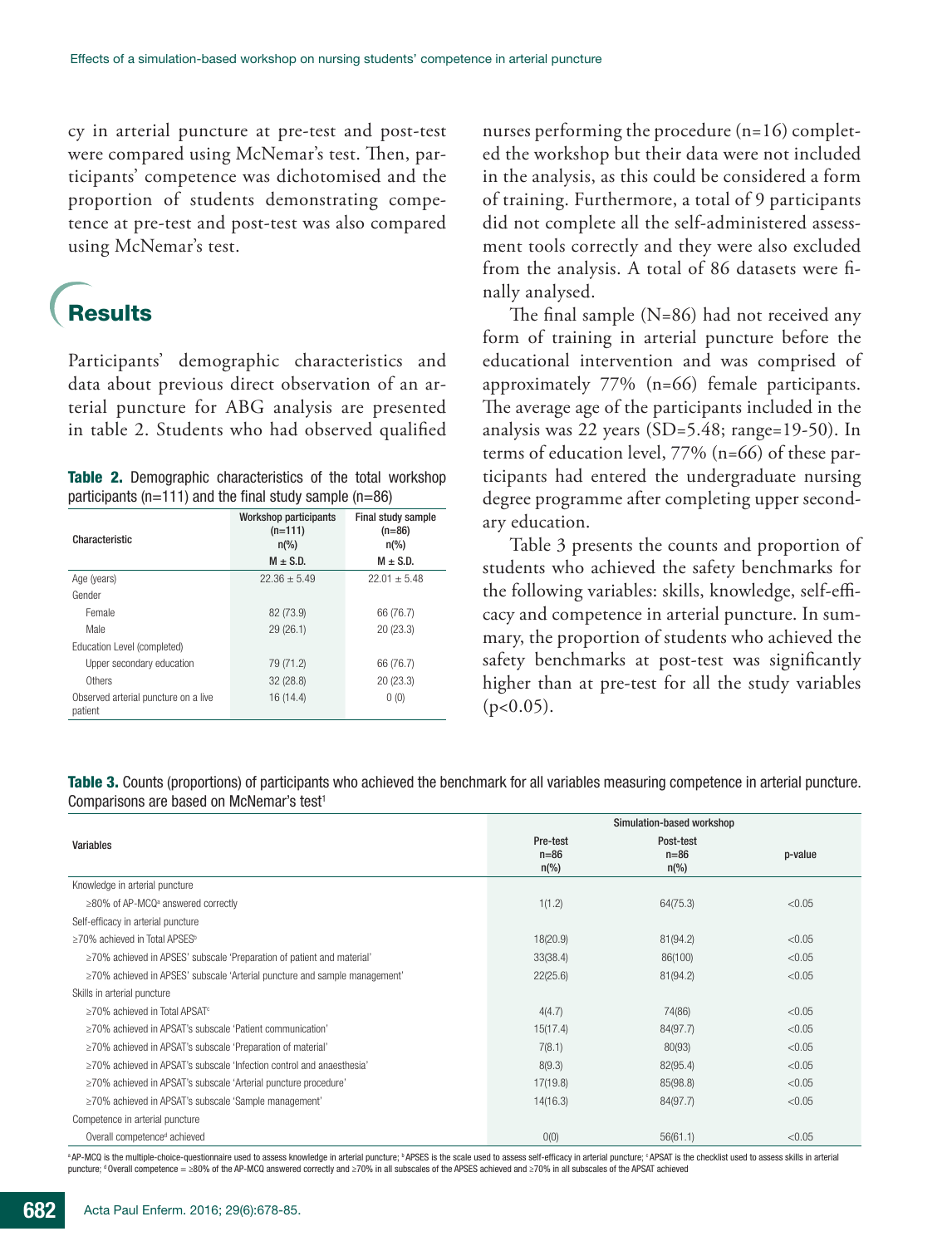cy in arterial puncture at pre-test and post-test were compared using McNemar's test. Then, participants' competence was dichotomised and the proportion of students demonstrating competence at pre-test and post-test was also compared using McNemar's test.

## **Results**

Participants' demographic characteristics and data about previous direct observation of an arterial puncture for ABG analysis are presented in table 2. Students who had observed qualified

|  | <b>Table 2.</b> Demographic characteristics of the total workshop |  |  |
|--|-------------------------------------------------------------------|--|--|
|  | participants ( $n=111$ ) and the final study sample ( $n=86$ )    |  |  |

| Characteristic                                  | <b>Workshop participants</b><br>$(n=111)$<br>$n\frac{6}{6}$<br>$M \pm S.D.$ | Final study sample<br>$(n=86)$<br>$n\frac{6}{6}$<br>$M \pm S.D.$ |
|-------------------------------------------------|-----------------------------------------------------------------------------|------------------------------------------------------------------|
| Age (years)                                     | $22.36 + 5.49$                                                              | $22.01 + 5.48$                                                   |
| Gender                                          |                                                                             |                                                                  |
| Female                                          | 82 (73.9)                                                                   | 66 (76.7)                                                        |
| Male                                            | 29(26.1)                                                                    | 20 (23.3)                                                        |
| Education Level (completed)                     |                                                                             |                                                                  |
| Upper secondary education                       | 79 (71.2)                                                                   | 66 (76.7)                                                        |
| Others                                          | 32(28.8)                                                                    | 20(23.3)                                                         |
| Observed arterial puncture on a live<br>patient | 16 (14.4)                                                                   | 0(0)                                                             |

nurses performing the procedure (n=16) completed the workshop but their data were not included in the analysis, as this could be considered a form of training. Furthermore, a total of 9 participants did not complete all the self-administered assessment tools correctly and they were also excluded from the analysis. A total of 86 datasets were finally analysed.

The final sample (N=86) had not received any form of training in arterial puncture before the educational intervention and was comprised of approximately 77% (n=66) female participants. The average age of the participants included in the analysis was 22 years (SD=5.48; range=19-50). In terms of education level, 77% (n=66) of these participants had entered the undergraduate nursing degree programme after completing upper secondary education.

Table 3 presents the counts and proportion of students who achieved the safety benchmarks for the following variables: skills, knowledge, self-efficacy and competence in arterial puncture. In summary, the proportion of students who achieved the safety benchmarks at post-test was significantly higher than at pre-test for all the study variables  $(p<0.05)$ .

Table 3. Counts (proportions) of participants who achieved the benchmark for all variables measuring competence in arterial puncture. Comparisons are based on McNemar's test<sup>1</sup>

|                                                                                  | Simulation-based workshop |                |         |  |
|----------------------------------------------------------------------------------|---------------------------|----------------|---------|--|
| <b>Variables</b>                                                                 | Pre-test                  | Post-test      |         |  |
|                                                                                  | $n=86$                    | $n=86$         | p-value |  |
|                                                                                  | $n\frac{0}{6}$            | $n\frac{6}{6}$ |         |  |
| Knowledge in arterial puncture                                                   |                           |                |         |  |
| $\geq$ 80% of AP-MCQ <sup>a</sup> answered correctly                             | 1(1.2)                    | 64(75.3)       | < 0.05  |  |
| Self-efficacy in arterial puncture                                               |                           |                |         |  |
| $\geq$ 70% achieved in Total APSES <sup>b</sup>                                  | 18(20.9)                  | 81(94.2)       | < 0.05  |  |
| ≥70% achieved in APSES' subscale 'Preparation of patient and material'           | 33(38.4)                  | 86(100)        | < 0.05  |  |
| $\geq$ 70% achieved in APSES' subscale 'Arterial puncture and sample management' | 22(25.6)                  | 81(94.2)       | < 0.05  |  |
| Skills in arterial puncture                                                      |                           |                |         |  |
| $\geq$ 70% achieved in Total APSAT <sup>c</sup>                                  | 4(4.7)                    | 74(86)         | < 0.05  |  |
| ≥70% achieved in APSAT's subscale 'Patient communication'                        | 15(17.4)                  | 84(97.7)       | < 0.05  |  |
| ≥70% achieved in APSAT's subscale 'Preparation of material'                      | 7(8.1)                    | 80(93)         | < 0.05  |  |
| $\geq$ 70% achieved in APSAT's subscale 'Infection control and anaesthesia'      | 8(9.3)                    | 82(95.4)       | < 0.05  |  |
| $\geq$ 70% achieved in APSAT's subscale 'Arterial puncture procedure'            | 17(19.8)                  | 85(98.8)       | < 0.05  |  |
| ≥70% achieved in APSAT's subscale 'Sample management'                            | 14(16.3)                  | 84(97.7)       | < 0.05  |  |
| Competence in arterial puncture                                                  |                           |                |         |  |
| Overall competence <sup>d</sup> achieved                                         | O(0)                      | 56(61.1)       | < 0.05  |  |

<sup>a</sup> AP-MCQ is the multiple-choice-questionnaire used to assess knowledge in arterial puncture; <sup>5</sup> APSES is the scale used to assess self-efficacy in arterial puncture; <sup>c</sup> APSAT is the checklist used to assess skills in a puncture; d Overall competence = ≥80% of the AP-MCQ answered correctly and ≥70% in all subscales of the APSES achieved and ≥70% in all subscales of the APSAT achieved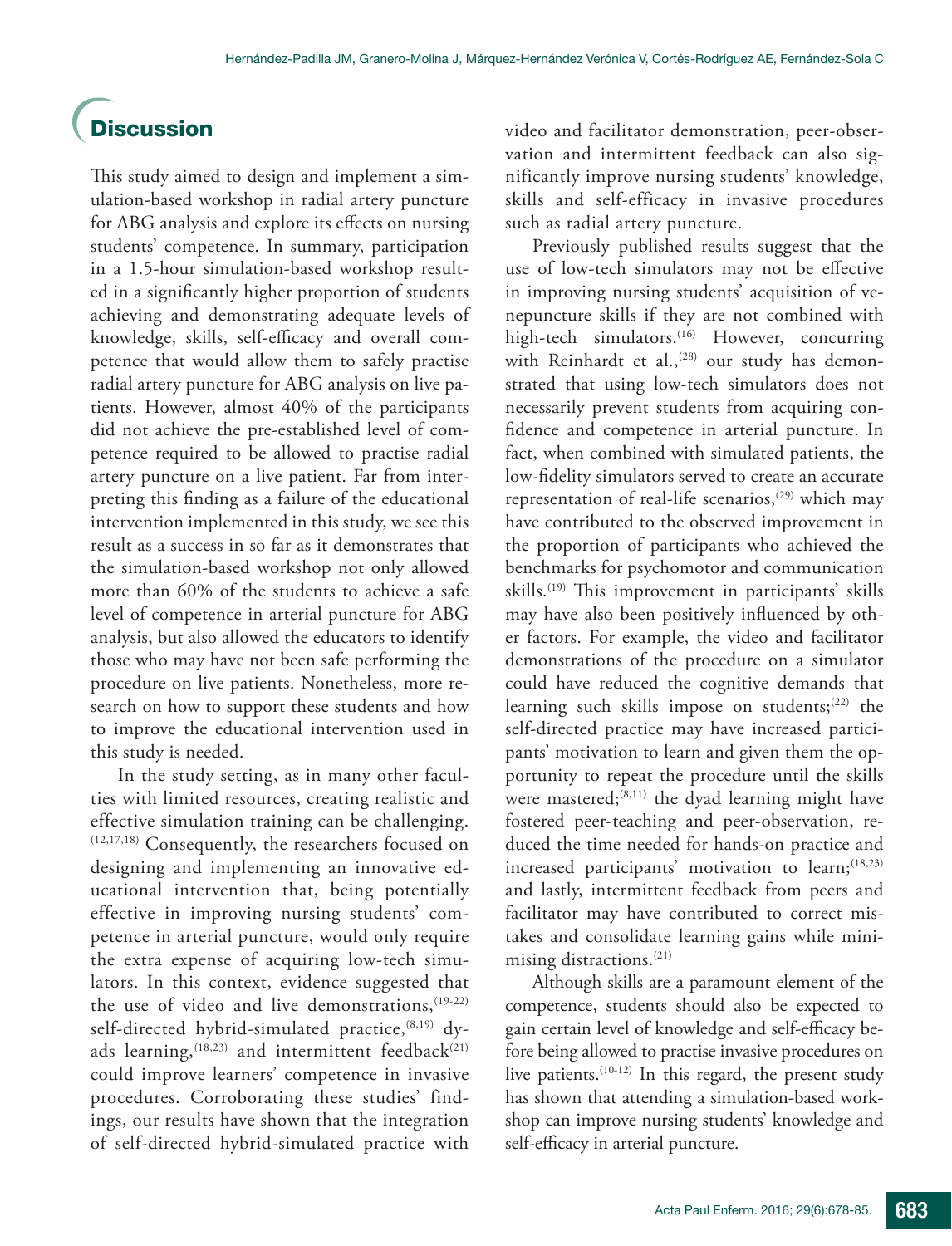## **Discussion**

This study aimed to design and implement a simulation-based workshop in radial artery puncture for ABG analysis and explore its effects on nursing students' competence. In summary, participation in a 1.5-hour simulation-based workshop resulted in a significantly higher proportion of students achieving and demonstrating adequate levels of knowledge, skills, self-efficacy and overall competence that would allow them to safely practise radial artery puncture for ABG analysis on live patients. However, almost 40% of the participants did not achieve the pre-established level of competence required to be allowed to practise radial artery puncture on a live patient. Far from interpreting this finding as a failure of the educational intervention implemented in this study, we see this result as a success in so far as it demonstrates that the simulation-based workshop not only allowed more than 60% of the students to achieve a safe level of competence in arterial puncture for ABG analysis, but also allowed the educators to identify those who may have not been safe performing the procedure on live patients. Nonetheless, more research on how to support these students and how to improve the educational intervention used in this study is needed.

In the study setting, as in many other faculties with limited resources, creating realistic and effective simulation training can be challenging. (12,17,18) Consequently, the researchers focused on designing and implementing an innovative educational intervention that, being potentially effective in improving nursing students' competence in arterial puncture, would only require the extra expense of acquiring low-tech simulators. In this context, evidence suggested that the use of video and live demonstrations, (19-22) self-directed hybrid-simulated practice,<sup>(8,19)</sup> dyads learning,  $(18,23)$  and intermittent feedback $(21)$ could improve learners' competence in invasive procedures. Corroborating these studies' findings, our results have shown that the integration of self-directed hybrid-simulated practice with

video and facilitator demonstration, peer-observation and intermittent feedback can also significantly improve nursing students' knowledge, skills and self-efficacy in invasive procedures such as radial artery puncture.

Previously published results suggest that the use of low-tech simulators may not be effective in improving nursing students' acquisition of venepuncture skills if they are not combined with high-tech simulators.<sup>(16)</sup> However, concurring with Reinhardt et al.,<sup>(28)</sup> our study has demonstrated that using low-tech simulators does not necessarily prevent students from acquiring confidence and competence in arterial puncture. In fact, when combined with simulated patients, the low-fidelity simulators served to create an accurate representation of real-life scenarios,<sup>(29)</sup> which may have contributed to the observed improvement in the proportion of participants who achieved the benchmarks for psychomotor and communication skills.<sup> $(19)$ </sup> This improvement in participants' skills may have also been positively influenced by other factors. For example, the video and facilitator demonstrations of the procedure on a simulator could have reduced the cognitive demands that learning such skills impose on students; $(22)$  the self-directed practice may have increased participants' motivation to learn and given them the opportunity to repeat the procedure until the skills were mastered; $(8,11)$  the dyad learning might have fostered peer-teaching and peer-observation, reduced the time needed for hands-on practice and increased participants' motivation to learn;<sup>(18,23)</sup> and lastly, intermittent feedback from peers and facilitator may have contributed to correct mistakes and consolidate learning gains while minimising distractions.(21)

Although skills are a paramount element of the competence, students should also be expected to gain certain level of knowledge and self-efficacy before being allowed to practise invasive procedures on live patients.<sup>(10-12)</sup> In this regard, the present study has shown that attending a simulation-based workshop can improve nursing students' knowledge and self-efficacy in arterial puncture.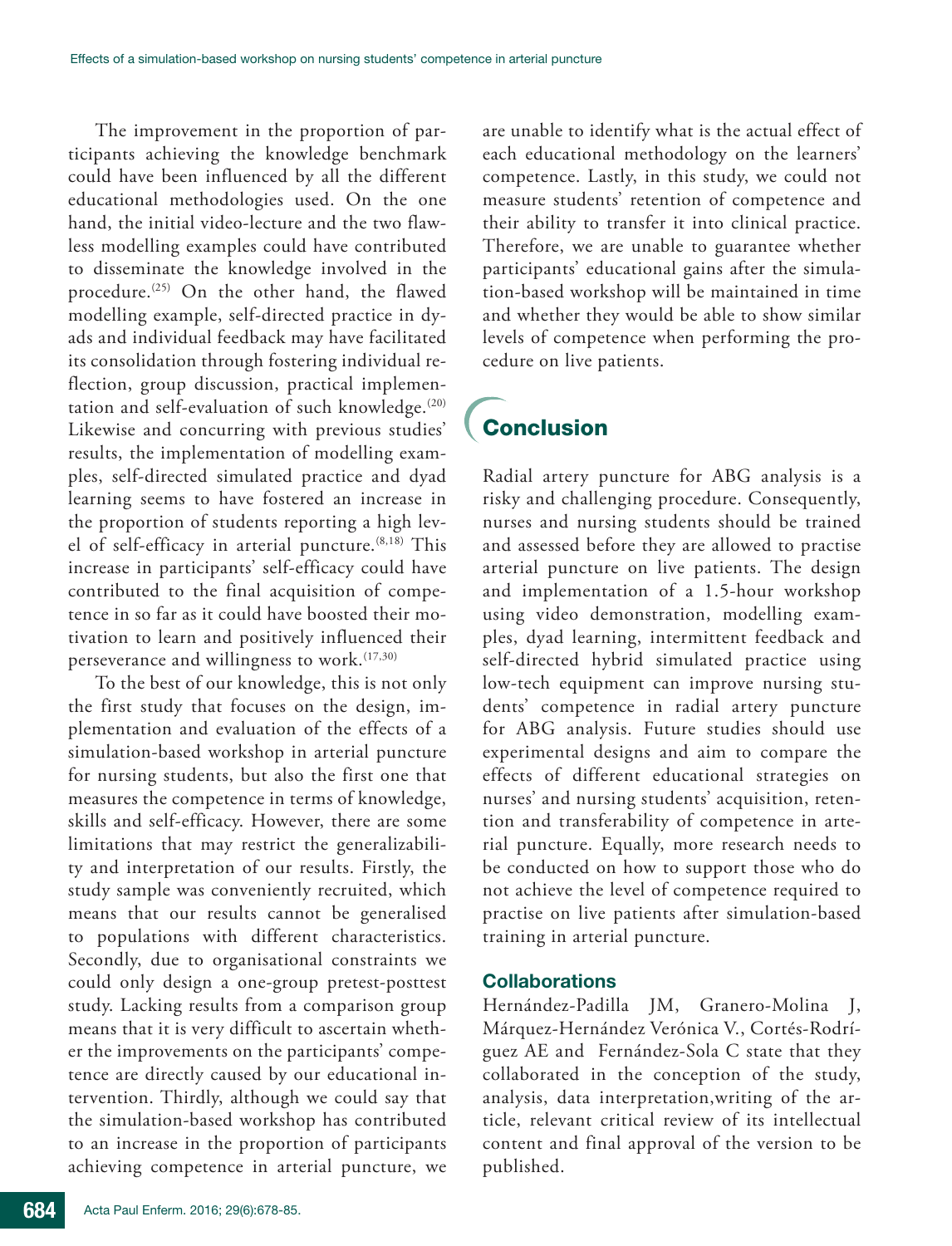The improvement in the proportion of participants achieving the knowledge benchmark could have been influenced by all the different educational methodologies used. On the one hand, the initial video-lecture and the two flawless modelling examples could have contributed to disseminate the knowledge involved in the procedure.<sup>(25)</sup> On the other hand, the flawed modelling example, self-directed practice in dyads and individual feedback may have facilitated its consolidation through fostering individual reflection, group discussion, practical implementation and self-evaluation of such knowledge.<sup>(20)</sup> Likewise and concurring with previous studies' results, the implementation of modelling examples, self-directed simulated practice and dyad learning seems to have fostered an increase in the proportion of students reporting a high level of self-efficacy in arterial puncture.(8,18) This increase in participants' self-efficacy could have contributed to the final acquisition of competence in so far as it could have boosted their motivation to learn and positively influenced their perseverance and willingness to work.<sup>(17,30)</sup>

To the best of our knowledge, this is not only the first study that focuses on the design, implementation and evaluation of the effects of a simulation-based workshop in arterial puncture for nursing students, but also the first one that measures the competence in terms of knowledge, skills and self-efficacy. However, there are some limitations that may restrict the generalizability and interpretation of our results. Firstly, the study sample was conveniently recruited, which means that our results cannot be generalised to populations with different characteristics. Secondly, due to organisational constraints we could only design a one-group pretest-posttest study. Lacking results from a comparison group means that it is very difficult to ascertain whether the improvements on the participants' competence are directly caused by our educational intervention. Thirdly, although we could say that the simulation-based workshop has contributed to an increase in the proportion of participants achieving competence in arterial puncture, we

are unable to identify what is the actual effect of each educational methodology on the learners' competence. Lastly, in this study, we could not measure students' retention of competence and their ability to transfer it into clinical practice. Therefore, we are unable to guarantee whether participants' educational gains after the simulation-based workshop will be maintained in time and whether they would be able to show similar levels of competence when performing the procedure on live patients.

## **Conclusion**

Radial artery puncture for ABG analysis is a risky and challenging procedure. Consequently, nurses and nursing students should be trained and assessed before they are allowed to practise arterial puncture on live patients. The design and implementation of a 1.5-hour workshop using video demonstration, modelling examples, dyad learning, intermittent feedback and self-directed hybrid simulated practice using low-tech equipment can improve nursing students' competence in radial artery puncture for ABG analysis. Future studies should use experimental designs and aim to compare the effects of different educational strategies on nurses' and nursing students' acquisition, retention and transferability of competence in arterial puncture. Equally, more research needs to be conducted on how to support those who do not achieve the level of competence required to practise on live patients after simulation-based training in arterial puncture.

### **Collaborations**

Hernández-Padilla JM, Granero-Molina J, Márquez-Hernández Verónica V., Cortés-Rodríguez AE and Fernández-Sola C state that they collaborated in the conception of the study, analysis, data interpretation,writing of the article, relevant critical review of its intellectual content and final approval of the version to be published.